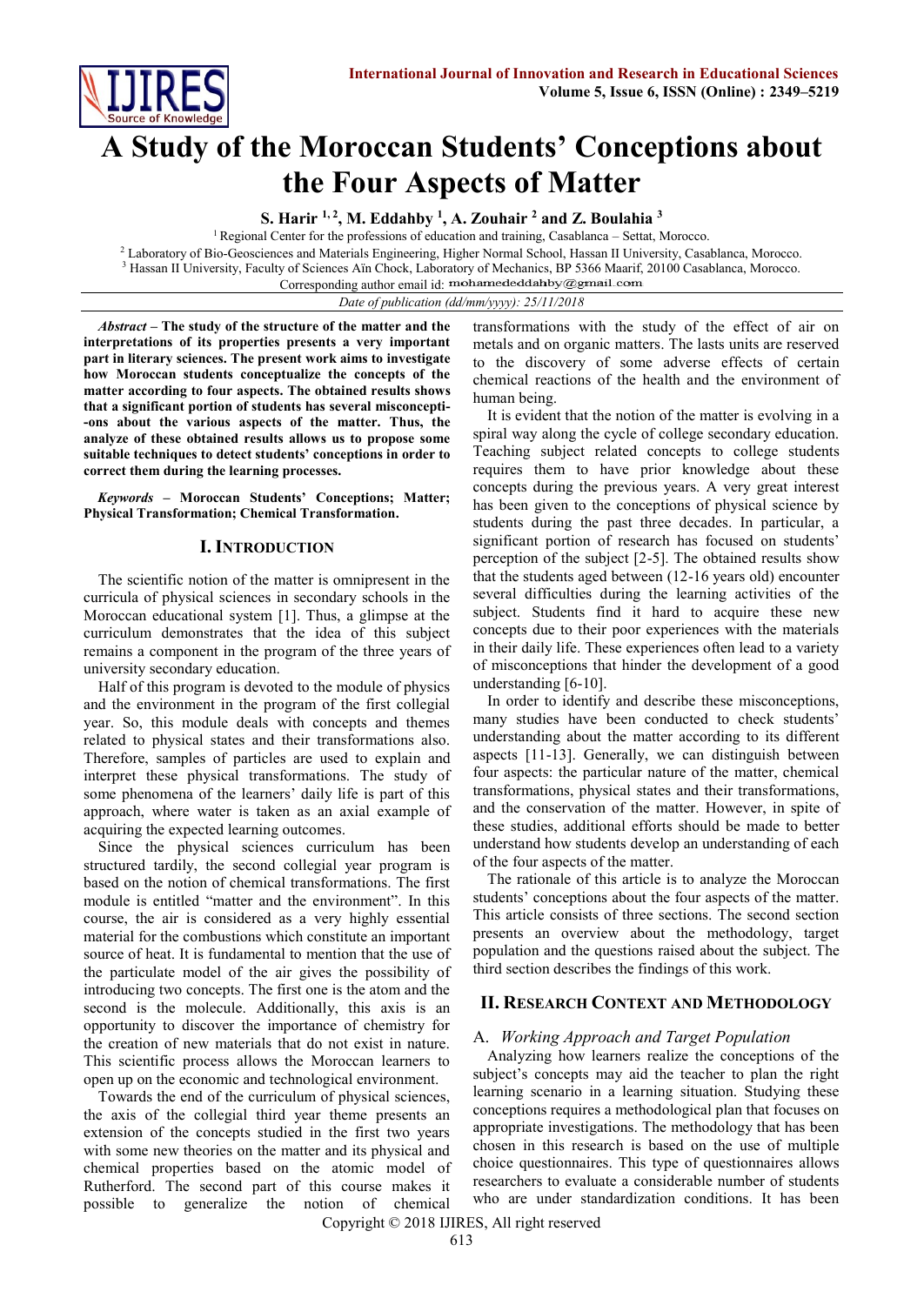

# **A Study of the Moroccan Students' Conceptions about the Four Aspects of Matter**

**S. Harir 1, 2, M. Eddahby <sup>1</sup> , A. Zouhair <sup>2</sup> and Z. Boulahia <sup>3</sup>**

<sup>1</sup> Regional Center for the professions of education and training, Casablanca – Settat, Morocco. <sup>2</sup> Laboratory of Bio-Geosciences and Materials Engineering, Higher Normal School, Hassan II University, Casablanca, Morocco. <sup>3</sup> Hassan II University, Faculty of Sciences Aïn Chock, Laboratory of Mechanics, BP 5366 Maarif, 20100 Casablanca, Morocco.

Corresponding author email id: mohamededdahby@gmail.com

*Date of publication (dd/mm/yyyy): 25/11/2018*

*Abstract* **– The study of the structure of the matter and the interpretations of its properties presents a very important part in literary sciences. The present work aims to investigate how Moroccan students conceptualize the concepts of the matter according to four aspects. The obtained results shows that a significant portion of students has several misconcepti- -ons about the various aspects of the matter. Thus, the analyze of these obtained results allows us to propose some suitable techniques to detect students' conceptions in order to correct them during the learning processes.**

*Keywords* **– Moroccan Students' Conceptions; Matter; Physical Transformation; Chemical Transformation.**

## **I. INTRODUCTION**

The scientific notion of the matter is omnipresent in the curricula of physical sciences in secondary schools in the Moroccan educational system [1]. Thus, a glimpse at the curriculum demonstrates that the idea of this subject remains a component in the program of the three years of university secondary education.

Half of this program is devoted to the module of physics and the environment in the program of the first collegial year. So, this module deals with concepts and themes related to physical states and their transformations also. Therefore, samples of particles are used to explain and interpret these physical transformations. The study of some phenomena of the learners' daily life is part of this approach, where water is taken as an axial example of acquiring the expected learning outcomes.

Since the physical sciences curriculum has been structured tardily, the second collegial year program is based on the notion of chemical transformations. The first module is entitled "matter and the environment". In this course, the air is considered as a very highly essential material for the combustions which constitute an important source of heat. It is fundamental to mention that the use of the particulate model of the air gives the possibility of introducing two concepts. The first one is the atom and the second is the molecule. Additionally, this axis is an opportunity to discover the importance of chemistry for the creation of new materials that do not exist in nature. This scientific process allows the Moroccan learners to open up on the economic and technological environment.

Towards the end of the curriculum of physical sciences, the axis of the collegial third year theme presents an extension of the concepts studied in the first two years with some new theories on the matter and its physical and chemical properties based on the atomic model of Rutherford. The second part of this course makes it possible to generalize the notion of chemical

transformations with the study of the effect of air on metals and on organic matters. The lasts units are reserved to the discovery of some adverse effects of certain chemical reactions of the health and the environment of human being.

It is evident that the notion of the matter is evolving in a spiral way along the cycle of college secondary education. Teaching subject related concepts to college students requires them to have prior knowledge about these concepts during the previous years. A very great interest has been given to the conceptions of physical science by students during the past three decades. In particular, a significant portion of research has focused on students' perception of the subject [2-5]. The obtained results show that the students aged between (12-16 years old) encounter several difficulties during the learning activities of the subject. Students find it hard to acquire these new concepts due to their poor experiences with the materials in their daily life. These experiences often lead to a variety of misconceptions that hinder the development of a good understanding [6-10].

In order to identify and describe these misconceptions, many studies have been conducted to check students' understanding about the matter according to its different aspects [11-13]. Generally, we can distinguish between four aspects: the particular nature of the matter, chemical transformations, physical states and their transformations, and the conservation of the matter. However, in spite of these studies, additional efforts should be made to better understand how students develop an understanding of each of the four aspects of the matter.

The rationale of this article is to analyze the Moroccan students' conceptions about the four aspects of the matter. This article consists of three sections. The second section presents an overview about the methodology, target population and the questions raised about the subject. The third section describes the findings of this work.

## **II. RESEARCH CONTEXT AND METHODOLOGY**

### A. *Working Approach and Target Population*

Analyzing how learners realize the conceptions of the subject's concepts may aid the teacher to plan the right learning scenario in a learning situation. Studying these conceptions requires a methodological plan that focuses on appropriate investigations. The methodology that has been chosen in this research is based on the use of multiple choice questionnaires. This type of questionnaires allows researchers to evaluate a considerable number of students who are under standardization conditions. It has been

Copyright © 2018 IJIRES, All right reserved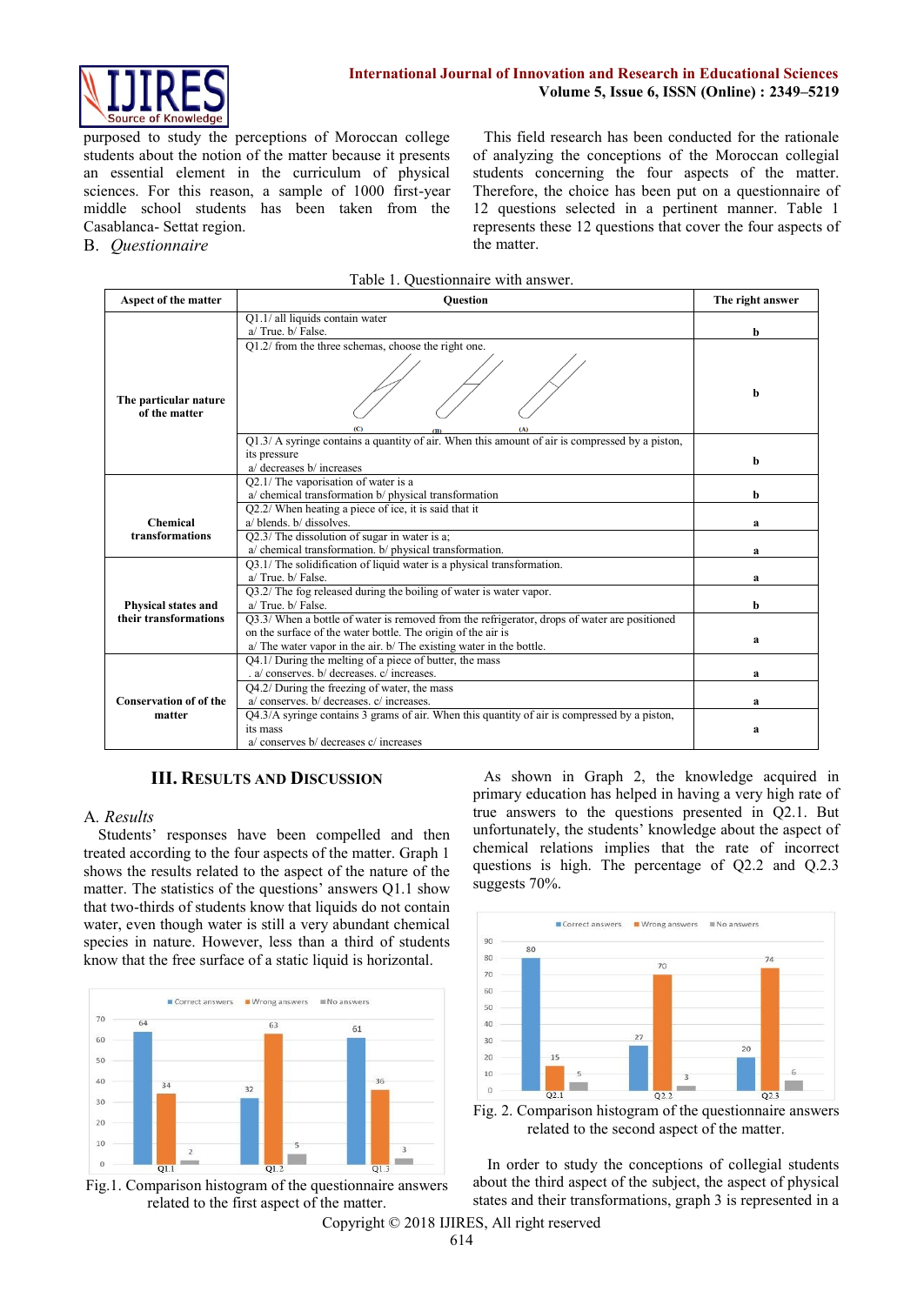

purposed to study the perceptions of Moroccan college students about the notion of the matter because it presents an essential element in the curriculum of physical sciences. For this reason, a sample of 1000 first-year middle school students has been taken from the Casablanca- Settat region.

B. *Questionnaire*

This field research has been conducted for the rationale of analyzing the conceptions of the Moroccan collegial students concerning the four aspects of the matter. Therefore, the choice has been put on a questionnaire of 12 questions selected in a pertinent manner. Table 1 represents these 12 questions that cover the four aspects of the matter.

Table 1. Questionnaire with answer.

| Aspect of the matter                         | <b>Ouestion</b>                                                                                                  | The right answer |
|----------------------------------------------|------------------------------------------------------------------------------------------------------------------|------------------|
|                                              | Q1.1/ all liquids contain water                                                                                  |                  |
|                                              | a/True, b/False.                                                                                                 | b                |
|                                              | Q1.2/ from the three schemas, choose the right one.                                                              |                  |
| The particular nature<br>of the matter       |                                                                                                                  | b                |
|                                              | Q1.3/ A syringe contains a quantity of air. When this amount of air is compressed by a piston,                   |                  |
|                                              | its pressure                                                                                                     |                  |
|                                              | a/ decreases b/ increases                                                                                        | b                |
|                                              | Q2.1/ The vaporisation of water is a                                                                             |                  |
|                                              | $a$ chemical transformation $b$ physical transformation                                                          | b                |
|                                              | Q2.2/ When heating a piece of ice, it is said that it                                                            |                  |
| <b>Chemical</b>                              | a/ blends. b/ dissolves.                                                                                         | a                |
| transformations                              | Q2.3/ The dissolution of sugar in water is a;                                                                    |                  |
|                                              | a/ chemical transformation. b/ physical transformation.                                                          | a                |
|                                              | Q3.1/ The solidification of liquid water is a physical transformation.                                           |                  |
|                                              | a/True, b/False.                                                                                                 | a                |
|                                              | Q3.2/ The fog released during the boiling of water is water vapor.                                               |                  |
| Physical states and<br>their transformations | a/True, b/False.<br>Q3.3/ When a bottle of water is removed from the refrigerator, drops of water are positioned | b                |
|                                              | on the surface of the water bottle. The origin of the air is                                                     |                  |
|                                              | a/ The water vapor in the air. b/ The existing water in the bottle.                                              | a                |
|                                              | Q4.1/ During the melting of a piece of butter, the mass                                                          |                  |
|                                              | a/ conserves. b/ decreases. c/ increases.                                                                        | a                |
|                                              | Q4.2/ During the freezing of water, the mass                                                                     |                  |
| <b>Conservation of of the</b>                | a/ conserves. b/ decreases. c/ increases.                                                                        | a                |
| matter                                       | Q4.3/A syringe contains 3 grams of air. When this quantity of air is compressed by a piston,                     |                  |
|                                              | its mass                                                                                                         | a                |
|                                              | a/ conserves b/ decreases c/ increases                                                                           |                  |

## **III. RESULTS AND DISCUSSION**

### A*. Results*

Students' responses have been compelled and then treated according to the four aspects of the matter. Graph 1 shows the results related to the aspect of the nature of the matter. The statistics of the questions' answers Q1.1 show that two-thirds of students know that liquids do not contain water, even though water is still a very abundant chemical species in nature. However, less than a third of students know that the free surface of a static liquid is horizontal.





As shown in Graph 2, the knowledge acquired in primary education has helped in having a very high rate of true answers to the questions presented in Q2.1. But unfortunately, the students' knowledge about the aspect of chemical relations implies that the rate of incorrect questions is high. The percentage of Q2.2 and Q.2.3 suggests 70%.





In order to study the conceptions of collegial students about the third aspect of the subject, the aspect of physical states and their transformations, graph 3 is represented in a

Copyright © 2018 IJIRES, All right reserved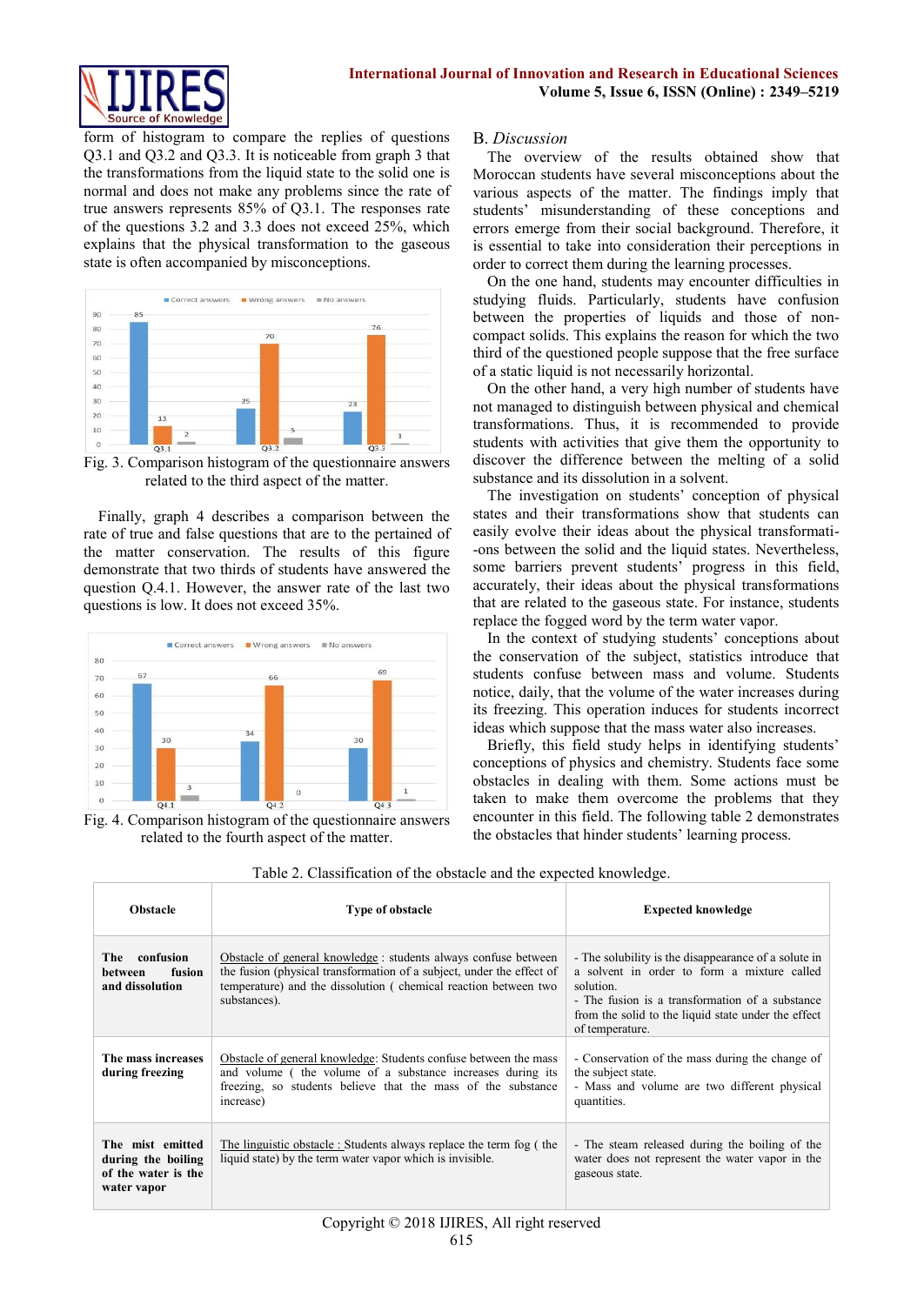

form of histogram to compare the replies of questions Q3.1 and Q3.2 and Q3.3. It is noticeable from graph 3 that the transformations from the liquid state to the solid one is normal and does not make any problems since the rate of true answers represents 85% of Q3.1. The responses rate of the questions 3.2 and 3.3 does not exceed 25%, which explains that the physical transformation to the gaseous state is often accompanied by misconceptions.



Fig. 3. Comparison histogram of the questionnaire answers related to the third aspect of the matter.

Finally, graph 4 describes a comparison between the rate of true and false questions that are to the pertained of the matter conservation. The results of this figure demonstrate that two thirds of students have answered the question  $Q$ .4.1. However, the answer rate of the last two questions is low. It does not exceed 35%.



Fig. 4. Comparison histogram of the questionnaire answers related to the fourth aspect of the matter.

## B. *Discussion*

The overview of the results obtained show that Moroccan students have several misconceptions about the various aspects of the matter. The findings imply that students' misunderstanding of these conceptions and errors emerge from their social background. Therefore, it is essential to take into consideration their perceptions in order to correct them during the learning processes.

On the one hand, students may encounter difficulties in studying fluids. Particularly, students have confusion between the properties of liquids and those of noncompact solids. This explains the reason for which the two third of the questioned people suppose that the free surface of a static liquid is not necessarily horizontal.

On the other hand, a very high number of students have not managed to distinguish between physical and chemical transformations. Thus, it is recommended to provide students with activities that give them the opportunity to discover the difference between the melting of a solid substance and its dissolution in a solvent.

The investigation on students' conception of physical states and their transformations show that students can easily evolve their ideas about the physical transformati- -ons between the solid and the liquid states. Nevertheless, some barriers prevent students' progress in this field, accurately, their ideas about the physical transformations that are related to the gaseous state. For instance, students replace the fogged word by the term water vapor.

In the context of studying students' conceptions about the conservation of the subject, statistics introduce that students confuse between mass and volume. Students notice, daily, that the volume of the water increases during its freezing. This operation induces for students incorrect ideas which suppose that the mass water also increases.

Briefly, this field study helps in identifying students' conceptions of physics and chemistry. Students face some obstacles in dealing with them. Some actions must be taken to make them overcome the problems that they encounter in this field. The following table 2 demonstrates the obstacles that hinder students' learning process.

| Obstacle                                                                     | Type of obstacle                                                                                                                                                                                                            | <b>Expected knowledge</b>                                                                                                                                                                                                                     |
|------------------------------------------------------------------------------|-----------------------------------------------------------------------------------------------------------------------------------------------------------------------------------------------------------------------------|-----------------------------------------------------------------------------------------------------------------------------------------------------------------------------------------------------------------------------------------------|
| The confusion<br>fusion<br><b>between</b><br>and dissolution                 | Obstacle of general knowledge : students always confuse between<br>the fusion (physical transformation of a subject, under the effect of<br>temperature) and the dissolution (chemical reaction between two<br>substances). | - The solubility is the disappearance of a solute in<br>a solvent in order to form a mixture called<br>solution.<br>- The fusion is a transformation of a substance<br>from the solid to the liquid state under the effect<br>of temperature. |
| The mass increases<br>during freezing                                        | Obstacle of general knowledge: Students confuse between the mass<br>and volume ( the volume of a substance increases during its<br>freezing, so students believe that the mass of the substance<br>increase)                | - Conservation of the mass during the change of<br>the subject state.<br>- Mass and volume are two different physical<br>quantities.                                                                                                          |
| The mist emitted<br>during the boiling<br>of the water is the<br>water vapor | The linguistic obstacle : Students always replace the term fog (the<br>liquid state) by the term water vapor which is invisible.                                                                                            | - The steam released during the boiling of the<br>water does not represent the water vapor in the<br>gaseous state.                                                                                                                           |

Table 2. Classification of the obstacle and the expected knowledge.